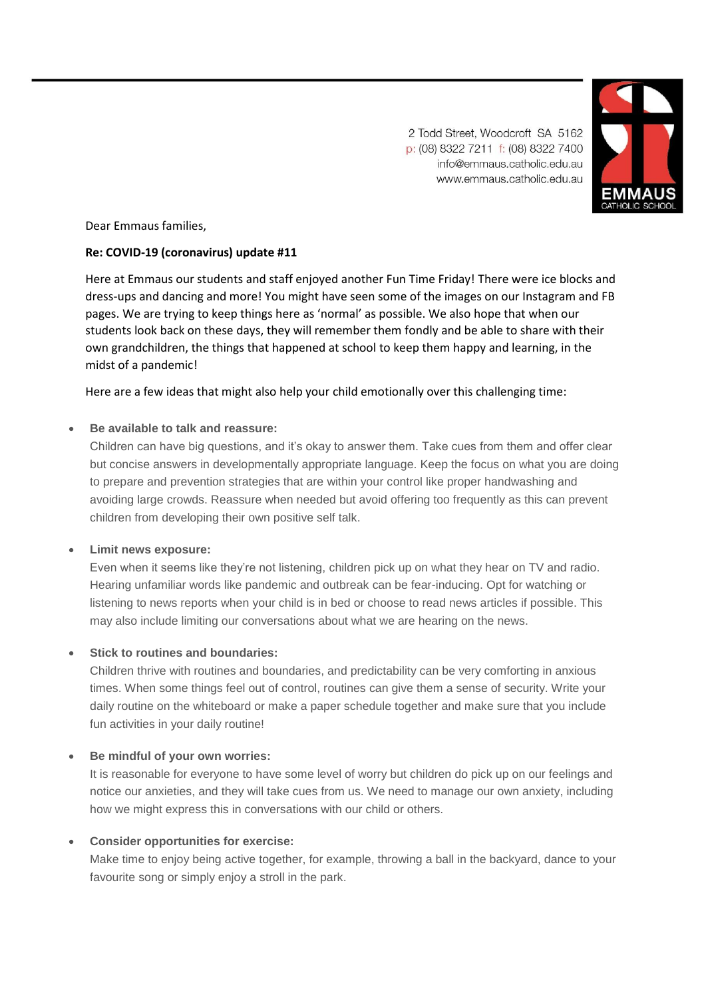2 Todd Street, Woodcroft SA 5162 p: (08) 8322 7211 f: (08) 8322 7400 info@emmaus.catholic.edu.au www.emmaus.catholic.edu.au



Dear Emmaus families,

# **Re: COVID-19 (coronavirus) update #11**

Here at Emmaus our students and staff enjoyed another Fun Time Friday! There were ice blocks and dress-ups and dancing and more! You might have seen some of the images on our Instagram and FB pages. We are trying to keep things here as 'normal' as possible. We also hope that when our students look back on these days, they will remember them fondly and be able to share with their own grandchildren, the things that happened at school to keep them happy and learning, in the midst of a pandemic!

Here are a few ideas that might also help your child emotionally over this challenging time:

### • **Be available to talk and reassure:**

Children can have big questions, and it's okay to answer them. Take cues from them and offer clear but concise answers in developmentally appropriate language. Keep the focus on what you are doing to prepare and prevention strategies that are within your control like proper handwashing and avoiding large crowds. Reassure when needed but avoid offering too frequently as this can prevent children from developing their own positive self talk.

#### • **Limit news exposure:**

Even when it seems like they're not listening, children pick up on what they hear on TV and radio. Hearing unfamiliar words like pandemic and outbreak can be fear-inducing. Opt for watching or listening to news reports when your child is in bed or choose to read news articles if possible. This may also include limiting our conversations about what we are hearing on the news.

#### • **Stick to routines and boundaries:**

Children thrive with routines and boundaries, and predictability can be very comforting in anxious times. When some things feel out of control, routines can give them a sense of security. Write your daily routine on the whiteboard or make a paper schedule together and make sure that you include fun activities in your daily routine!

#### • **Be mindful of your own worries:**

It is reasonable for everyone to have some level of worry but children do pick up on our feelings and notice our anxieties, and they will take cues from us. We need to manage our own anxiety, including how we might express this in conversations with our child or others.

# • **Consider opportunities for exercise:**

Make time to enjoy being active together, for example, throwing a ball in the backyard, dance to your favourite song or simply enjoy a stroll in the park.